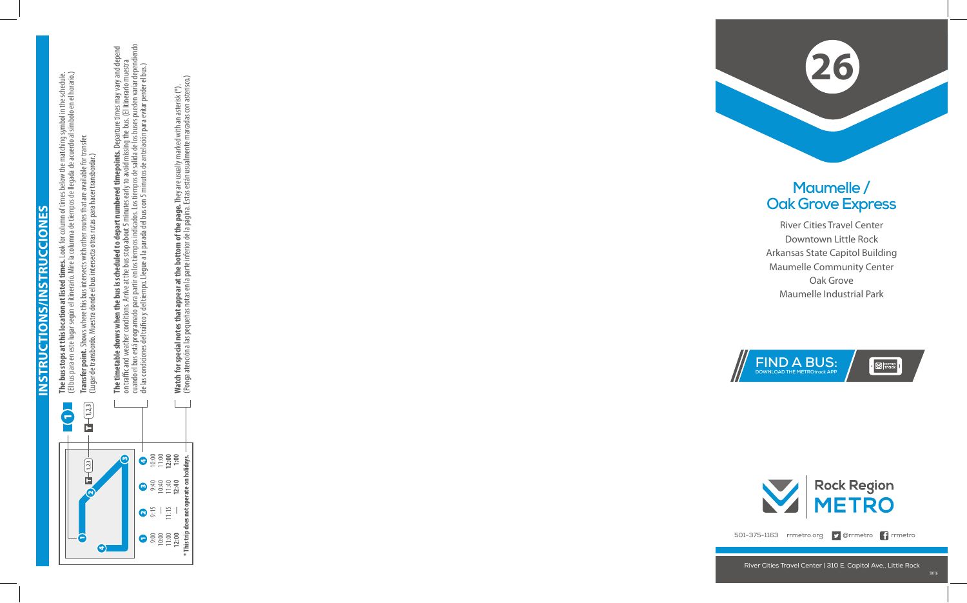**Instructions/Instrucciones INSTRUCTIONS/INSTRUCCIONE** 

 $\mathsf{v}$ 



**The bus stops at this location at listed times.** Look for column of times below the matching symbol in the schedule. **The bus stops at this location at listed times.** Look for column of times below the matching symbol in the schedule.<br>(El bus para en este lugar según el itinerario. Mire la columna de tiempos de llegada de acuerdo al símb (El bus para en este lugar según el itinerario. Mire la columna de tiempos de llegada de acuerdo al símbolo en el horario.) **Transfer point.** Shows where this bus intersects with other routes that are available for transfer.<br>(Lugar de transbordo. Muestra donde el bus intersecta otras rutas para hacer transbordar.) **Transfer point.** Shows where this bus intersects with other routes that are available for transfer. (Lugar de transbordo. Muestra donde el bus intersecta otras rutas para hacer transbordar.)

**The timetable shows when the bus is scheduled to depart numbered timepoints.** Departure times may vary and depend<br>on traffic and weather conditions. Arrive at the bus stop about 5 minutes early to avoid missing the bus. ( cuando el bus está programado para partir en los tiempos indicados. Los tiempos de salida de los buses pueden variar dependiendo **The timetable shows when the bus is scheduled to depart numbered timepoints.** Departure times may vary and depend on traffic and weather conditions. Arrive at the bus stop about 5 minutes early to avoid missing the bus. (El itinerario muestra de las condiciones del tráco y del tiempo. Llegue a la parada del bus con 5 minutos de antelación para evitar perder el bus.)

**Watch for special notes that appear at the bottom of the page.** They are usually marked with an asterisk (\*).<br>(Ponga atención a las pequeñas notas en la parte inferior de la página. Estas están usualmente marcadas con ast (Ponga atención a las pequeñas notas en la parte inferior de la página. Estas están usualmente marcadas con asterisco.) **Watch for special notes that appear at the bottom of the page.** They are usually marked with an asterisk (\*).



501-375-1163 rrmetro.org **D**Orrmetro **f** rrmetro

River Cities Travel Center | 310 E. Capitol Ave., Little Rock



## **Maumelle / Oak Grove Express**

River Cities Travel Center Downtown Little Rock Arkansas State Capitol Building Maumelle Community Center Oak Grove Maumelle Industrial Park